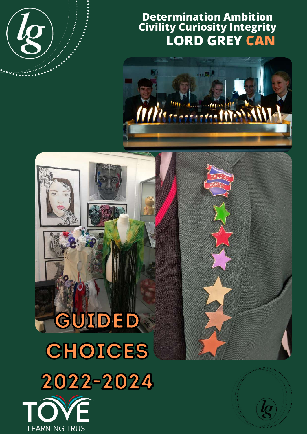

## **Determination Ambition Civility Curiosity Integrity LORD GREY CAN**



# GUIDED CHOICES 2022-2024

**LEARNING TRUST** 

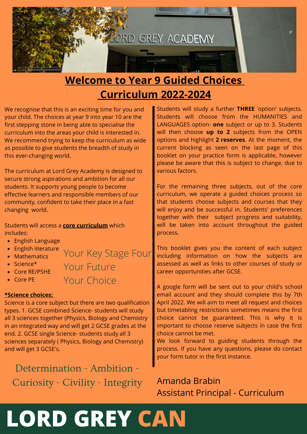

## **Welcome to Year 9 Guided Choices Curriculum 2022-2024**

We recognise that this is an exciting time for you and your child. The choices at year 9 into year 10 are the first stepping stone in being able to specialise the curriculum into the areas your child is interested in. We recommend trying to keep the curriculum as wide as possible to give students the breadth of study in this ever-changing world.

The curriculum at Lord Grey Academy is designed to secure strong aspirations and ambition for all our students. It supports young people to become effective learners and responsible members of our community, confident to take their place in a fast changing world.

Students will access a **core curriculum** which includes:

- English Language
- English literature Your Key Stage Four
- Mathematics
- $\bullet$  Science\*

Core RE/PSHE

Core PE

Your Future

Your Choice

### **\*Science choices:**

Science is a core subject but there are two qualification types. 1. GCSE combined Science- students will study all 3 sciences together (Physics, Biology and Chemistry in an integrated way and will get 2 GCSE grades at the end. 2. GCSE single Science- students study all 3 sciences separately ( Physics, Biology and Chemistry) and will get 3 GCSE's.

Determination - Ambition - Curiosity - Civility - Integrity Students will study a further **THREE** 'option' subjects. Students will choose from the HUMANITIES and LANGUAGES option- **one** subject or up to 3. Students will then choose **up to 2** subjects from the OPEN options and highlight **2 reserves**. At the moment, the current blocking as seen on the last page of this booklet on your practice form is applicable, however please be aware that this is subject to change, due to various factors.

For the remaining three subjects, out of the core curriculum, we operate a guided choices process so that students choose subjects and courses that they will enjoy and be successful in. Students' preferences together with their subject progress and suitability, will be taken into account throughout the guided process.

This booklet gives you the content of each subject including information on how the subjects are assessed as well as links to other courses of study or career opportunities after GCSE.

A google form will be sent out to your child's school email account and they should complete this by 7th April 2022. We will aim to meet all request and choices but timetabling restrictions sometimes means the first choice cannot be guaranteed. This is why it is important to choose reserve subjects in case the first choice cannot be met.

We look forward to guiding students through the process. if you have any questions, please do contact your form tutor in the first instance.

Amanda Brabin Assistant Principal - Curriculum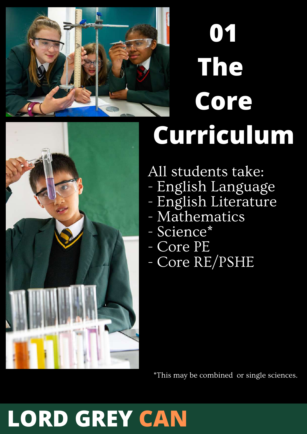

# **01 The Core Curriculum**



All students take:

- English Language
- English Literature
- Mathematics
- Science\*
- Core PE
- Core RE/PSHE

\*This may be combined or single sciences.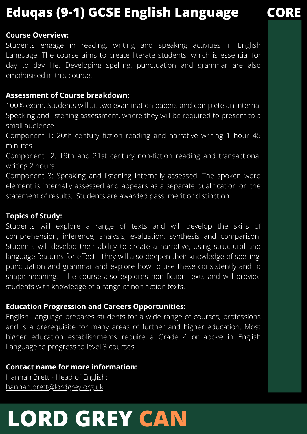## **Eduqas (9-1) GCSE English Language CORE**

## **Course Overview:**

Students engage in reading, writing and speaking activities in English Language. The course aims to create literate students, which is essential for day to day life. Developing spelling, punctuation and grammar are also emphasised in this course.

## **Assessment of Course breakdown:**

100% exam. Students will sit two examination papers and complete an internal Speaking and listening assessment, where they will be required to present to a small audience.

Component 1: 20th century fiction reading and narrative writing 1 hour 45 minutes

Component 2: 19th and 21st century non-fiction reading and transactional writing 2 hours

Component 3: Speaking and listening Internally assessed. The spoken word element is internally assessed and appears as a separate qualification on the statement of results. Students are awarded pass, merit or distinction.

## **Topics of Study:**

Students will explore a range of texts and will develop the skills of comprehension, inference, analysis, evaluation, synthesis and comparison. Students will develop their ability to create a narrative, using structural and language features for effect. They will also deepen their knowledge of spelling, punctuation and grammar and explore how to use these consistently and to shape meaning. The course also explores non-fiction texts and will provide students with knowledge of a range of non-fiction texts.

## **Education Progression and Careers Opportunities:**

English Language prepares students for a wide range of courses, professions and is a prerequisite for many areas of further and higher education. Most higher education establishments require a Grade 4 or above in English Language to progress to level 3 courses.

## **Contact name for more information:**

Hannah Brett - Head of English: [hannah.brett@lordgrey.org.uk](mailto:hannah.brett@lordgrey.org.uk)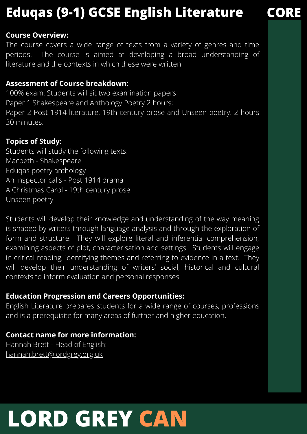## **Eduqas (9-1) GCSE English Literature CORE**

## **Course Overview:**

The course covers a wide range of texts from a variety of genres and time periods. The course is aimed at developing a broad understanding of literature and the contexts in which these were written.

## **Assessment of Course breakdown:**

100% exam. Students will sit two examination papers: Paper 1 Shakespeare and Anthology Poetry 2 hours; Paper 2 Post 1914 literature, 19th century prose and Unseen poetry. 2 hours 30 minutes.

## **Topics of Study:**

Students will study the following texts: Macbeth - Shakespeare Eduqas poetry anthology An Inspector calls - Post 1914 drama A Christmas Carol - 19th century prose Unseen poetry

Students will develop their knowledge and understanding of the way meaning is shaped by writers through language analysis and through the exploration of form and structure. They will explore literal and inferential comprehension, examining aspects of plot, characterisation and settings. Students will engage in critical reading, identifying themes and referring to evidence in a text. They will develop their understanding of writers' social, historical and cultural contexts to inform evaluation and personal responses.

## **Education Progression and Careers Opportunities:**

English Literature prepares students for a wide range of courses, professions and is a prerequisite for many areas of further and higher education.

## **Contact name for more information:**

Hannah Brett - Head of English: [hannah.brett@lordgrey.org.uk](mailto:hannah.brett@lordgrey.org.uk)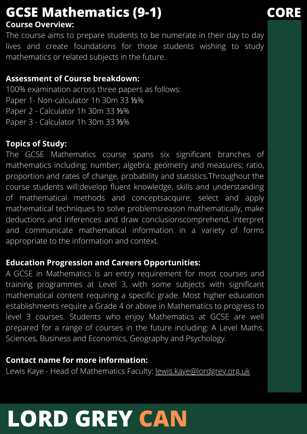## **Course Overview: GCSE Mathematics (9-1) CORE**

The course aims to prepare students to be numerate in their day to day lives and create foundations for those students wishing to study mathematics or related subjects in the future.

## **Assessment of Course breakdown:**

100% examination across three papers as follows: Paper 1- Non-calculator 1h 30m 33 ⅓% Paper 2 - Calculator 1h 30m 33 ⅓% Paper 3 - Calculator 1h 30m 33 ⅓%

## **Topics of Study:**

The GCSE Mathematics course spans six significant branches of mathematics including: number; algebra; geometry and measures; ratio, proportion and rates of change, probability and statistics.Throughout the course students will:develop fluent knowledge, skills and understanding of mathematical methods and conceptsacquire, select and apply mathematical techniques to solve problemsreason mathematically, make deductions and inferences and draw conclusionscomprehend, interpret and communicate mathematical information in a variety of forms appropriate to the information and context.

## **Education Progression and Careers Opportunities:**

A GCSE in Mathematics is an entry requirement for most courses and training programmes at Level 3, with some subjects with significant mathematical content requiring a specific grade. Most higher education establishments require a Grade 4 or above in Mathematics to progress to level 3 courses. Students who enjoy Mathematics at GCSE are well prepared for a range of courses in the future including: A Level Maths, Sciences, Business and Economics, Geography and Psychology.

## **Contact name for more information:**

Lewis Kaye - Head of Mathematics Faculty: [lewis.kaye@lordgrey.org.uk](mailto:lewis.kaye@lordgrey.org.uk)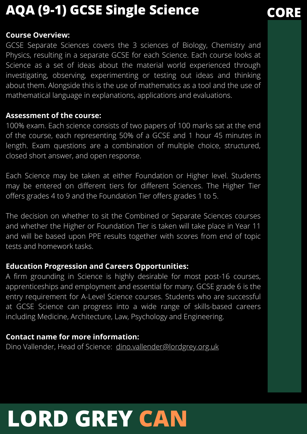## **AQA (9-1) GCSE Single Science CORE**

## **Course Overview:**

GCSE Separate Sciences covers the 3 sciences of Biology, Chemistry and Physics, resulting in a separate GCSE for each Science. Each course looks at Science as a set of ideas about the material world experienced through investigating, observing, experimenting or testing out ideas and thinking about them. Alongside this is the use of mathematics as a tool and the use of mathematical language in explanations, applications and evaluations.

## **Assessment of the course:**

100% exam. Each science consists of two papers of 100 marks sat at the end of the course, each representing 50% of a GCSE and 1 hour 45 minutes in length. Exam questions are a combination of multiple choice, structured, closed short answer, and open response.

Each Science may be taken at either Foundation or Higher level. Students may be entered on different tiers for different Sciences. The Higher Tier offers grades 4 to 9 and the Foundation Tier offers grades 1 to 5.

The decision on whether to sit the Combined or Separate Sciences courses and whether the Higher or Foundation Tier is taken will take place in Year 11 and will be based upon PPE results together with scores from end of topic tests and homework tasks.

## **Education Progression and Careers Opportunities:**

A firm grounding in Science is highly desirable for most post-16 courses, apprenticeships and employment and essential for many. GCSE grade 6 is the entry requirement for A-Level Science courses. Students who are successful at GCSE Science can progress into a wide range of skills-based careers including Medicine, Architecture, Law, Psychology and Engineering.

## **Contact name for more information:**

Dino Vallender, Head of Science: [dino.vallender@lordgrey.org.uk](mailto:dino.vallender@lordgrey.org.uk)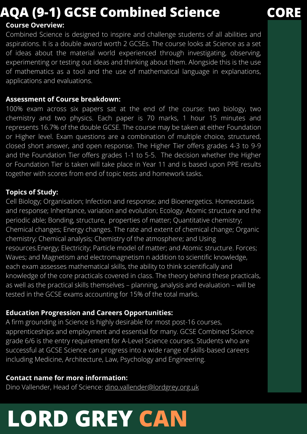## **AQA (9-1) GCSE Combined Science CORE**

## **Course Overview:**

Combined Science is designed to inspire and challenge students of all abilities and aspirations. It is a double award worth 2 GCSEs. The course looks at Science as a set of ideas about the material world experienced through investigating, observing, experimenting or testing out ideas and thinking about them. Alongside this is the use of mathematics as a tool and the use of mathematical language in explanations, applications and evaluations.

## **Assessment of Course breakdown:**

100% exam across six papers sat at the end of the course: two biology, two chemistry and two physics. Each paper is 70 marks, 1 hour 15 minutes and represents 16.7% of the double GCSE. The course may be taken at either Foundation or Higher level. Exam questions are a combination of multiple choice, structured, closed short answer, and open response. The Higher Tier offers grades 4-3 to 9-9 and the Foundation Tier offers grades 1-1 to 5-5. The decision whether the Higher or Foundation Tier is taken will take place in Year 11 and is based upon PPE results together with scores from end of topic tests and homework tasks.

## **Topics of Study:**

Cell Biology; Organisation; Infection and response; and Bioenergetics. Homeostasis and response; Inheritance, variation and evolution; Ecology. Atomic structure and the periodic able; Bonding, structure, properties of matter; Quantitative chemistry; Chemical changes; Energy changes. The rate and extent of chemical change; Organic chemistry; Chemical analysis; Chemistry of the atmosphere; and Using resources.Energy; Electricity; Particle model of matter; and Atomic structure. Forces; Waves; and Magnetism and electromagnetism n addition to scientific knowledge, each exam assesses mathematical skills, the ability to think scientifically and knowledge of the core practicals covered in class. The theory behind these practicals, as well as the practical skills themselves – planning, analysis and evaluation – will be tested in the GCSE exams accounting for 15% of the total marks.

## **Education Progression and Careers Opportunities:**

A firm grounding in Science is highly desirable for most post-16 courses, apprenticeships and employment and essential for many. GCSE Combined Science grade 6/6 is the entry requirement for A-Level Science courses. Students who are successful at GCSE Science can progress into a wide range of skills-based careers including Medicine, Architecture, Law, Psychology and Engineering.

## **Contact name for more information:**

Dino Vallender, Head of Science: [dino.vallender@lordgrey.org.uk](mailto:dino.vallender@lordgrey.org.uk)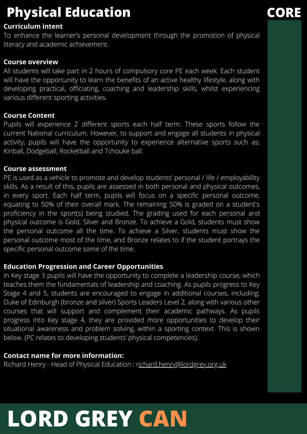## **Physical Education CORE**

## **Curriculum intent**

To enhance the learner's personal development through the promotion of physical literacy and academic achievement.

## **Course overview**

All students will take part in 2 hours of compulsory core PE each week. Each student will have the opportunity to learn the benefits of an active healthy lifestyle, along with developing practical, officiating, coaching and leadership skills, whilst experiencing various different sporting activities.

## **Course Content**

Pupils will experience 2 different sports each half term. These sports follow the current National curriculum. However, to support and engage all students in physical activity, pupils will have the opportunity to experience alternative sports such as; Kinball, Dodgeball, Rocketball and Tchouke ball.

## **Course assessment**

PE is used as a vehicle to promote and develop students' personal / life / employability skills. As a result of this, pupils are assessed in both personal and physical outcomes, in every sport. Each half term, pupils will focus on a specific personal outcome, equating to 50% of their overall mark. The remaining 50% is graded on a student's proficiency in the sport(s) being studied. The grading used for each personal and physical outcome is Gold, Silver and Bronze. To achieve a Gold, students must show the personal outcome all the time. To achieve a Silver, students must show the personal outcome most of the time, and Bronze relates to if the student portrays the specific personal outcome some of the time.

## **Education Progression and Career Opportunities**

In Key stage 3 pupils will have the opportunity to complete a leadership course, which teaches them the fundamentals of leadership and coaching. As pupils progress to Key Stage 4 and 5, students are encouraged to engage in additional courses, including; Duke of Edinburgh (bronze and silver) Sports Leaders Level 2, along with various other courses that will support and complement their academic pathways. As pupils progress into Key stage 4, they are provided more opportunities to develop their situational awareness and problem solving, within a sporting context. This is shown below. (PC relates to developing students' physical competencies).

## **Contact name for more information:**

Richard Henry - Head of Physical Education : [richard.henry@lordgrey.org.uk](mailto:richard.henry@lordgrey.org.uk)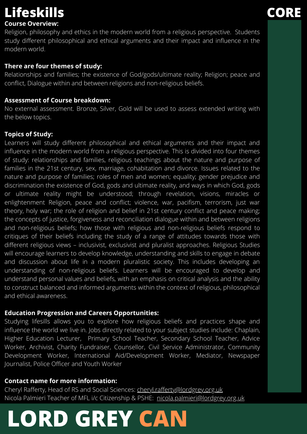## **Lifeskills CORE**

## **Course Overview:**

Religion, philosophy and ethics in the modern world from a religious perspective. Students study different philosophical and ethical arguments and their impact and influence in the modern world.

## **There are four themes of study:**

Relationships and families; the existence of God/gods/ultimate reality; Religion; peace and conflict, Dialogue within and between religions and non-religious beliefs.

## **Assessment of Course breakdown:**

No external assessment. Bronze, Silver, Gold will be used to assess extended writing with the below topics.

## **Topics of Study:**

Learners will study different philosophical and ethical arguments and their impact and influence in the modern world from a religious perspective. This is divided into four themes of study: relationships and families, religious teachings about the nature and purpose of families in the 21st century, sex, marriage, cohabitation and divorce. Issues related to the nature and purpose of families; roles of men and women; equality; gender prejudice and discrimination the existence of God, gods and ultimate reality, and ways in which God, gods or ultimate reality might be understood; through revelation, visions, miracles or enlightenment Religion, peace and conflict; violence, war, pacifism, terrorism, just war theory, holy war; the role of religion and belief in 21st century conflict and peace making; the concepts of justice, forgiveness and reconciliation dialogue within and between religions and non-religious beliefs; how those with religious and non-religious beliefs respond to critiques of their beliefs including the study of a range of attitudes towards those with different religious views – inclusivist, exclusivist and pluralist approaches. Religious Studies will encourage learners to develop knowledge, understanding and skills to engage in debate and discussion about life in a modern pluralistic society. This includes developing an understanding of non-religious beliefs. Learners will be encouraged to develop and understand personal values and beliefs, with an emphasis on critical analysis and the ability to construct balanced and informed arguments within the context of religious, philosophical and ethical awareness.

## **Education Progression and Careers Opportunities:**

Studying lifesills allows you to explore how religious beliefs and practices shape and influence the world we live in. Jobs directly related to your subject studies include: Chaplain, Higher Education Lecturer, Primary School Teacher, Secondary School Teacher, Advice Worker, Archivist, Charity Fundraiser, Counsellor, Civil Service Administrator, Community Development Worker, International Aid/Development Worker, Mediator, Newspaper Journalist, Police Officer and Youth Worker

## **Contact name for more information:**

Cheryl Rafferty, Head of RS and Social Sciences: [cheryl.rafferty@lordgrey.org.uk](mailto:cheryl.rafferty@lordgrey.org.uk) Nicola Palmieri Teacher of MFL i/c Citizenship & PSHE: [nicola.palmieri@lordgrey.org.uk](mailto:nicola.palmieri@lordgrey.org.uk)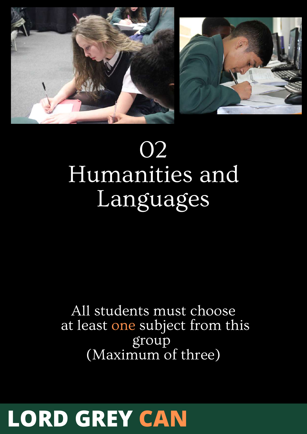



## 02 Humanities and Languages

All students must choose at least one subject from this group (Maximum of three)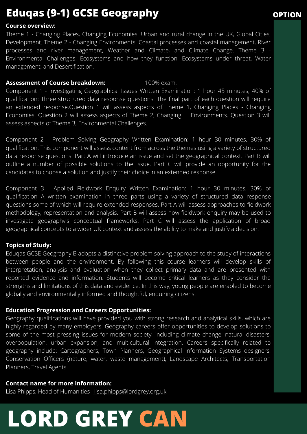## **Eduqas (9-1) GCSE Geography**

### **Course overview:**

Theme 1 - Changing Places, Changing Economies: Urban and rural change in the UK, Global Cities, Development. Theme 2 - Changing Environments: Coastal processes and coastal management, River processes and river management, Weather and Climate, and Climate Change. Theme 3 - Environmental Challenges: Ecosystems and how they function, Ecosystems under threat, Water management, and Desertification.

### **Assessment of Course breakdown:** 100% exam.

Component 1 - Investigating Geographical Issues Written Examination: 1 hour 45 minutes, 40% of qualification: Three structured data response questions. The final part of each question will require an extended response.Question 1 will assess aspects of Theme 1, Changing Places - Changing Economies. Question 2 will assess aspects of Theme 2, Changing Environments. Question 3 will assess aspects of Theme 3, Environmental Challenges.

Component 2 - Problem Solving Geography Written Examination: 1 hour 30 minutes, 30% of qualification. This component will assess content from across the themes using a variety of structured data response questions. Part A will introduce an issue and set the geographical context. Part B will outline a number of possible solutions to the issue. Part C will provide an opportunity for the candidates to choose a solution and justify their choice in an extended response.

Component 3 - Applied Fieldwork Enquiry Written Examination: 1 hour 30 minutes, 30% of qualification A written examination in three parts using a variety of structured data response questions some of which will require extended responses. Part A will assess approaches to fieldwork methodology, representation and analysis. Part B will assess how fieldwork enquiry may be used to investigate geography's conceptual frameworks. Part C will assess the application of broad geographical concepts to a wider UK context and assess the ability to make and justify a decision.

### **Topics of Study:**

Eduqas GCSE Geography B adopts a distinctive problem solving approach to the study of interactions between people and the environment. By following this course learners will develop skills of interpretation, analysis and evaluation when they collect primary data and are presented with reported evidence and information. Students will become critical learners as they consider the strengths and limitations of this data and evidence. In this way, young people are enabled to become globally and environmentally informed and thoughtful, enquiring citizens.

### **Education Progression and Careers Opportunities:**

Geography qualifications will have provided you with strong research and analytical skills, which are highly regarded by many employers. Geography careers offer opportunities to develop solutions to some of the most pressing issues for modern society, including climate change, natural disasters, overpopulation, urban expansion, and multicultural integration. Careers specifically related to geography include: Cartographers, Town Planners, Geographical Information Systems designers, Conservation Officers (nature, water, waste management), Landscape Architects, Transportation Planners, Travel Agents.

### **Contact name for more information:**

Lisa Phipps, Head of Humanities : [lisa.phipps@lordgrey.org.uk](mailto:lisa.phipps@lordgrey.org.uk)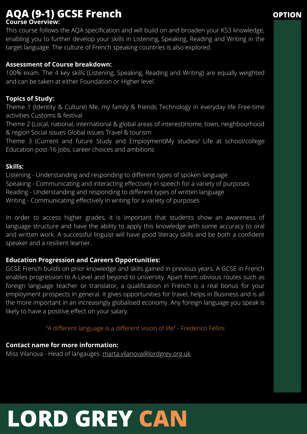## **Course Overview: AQA (9-1) GCSE French OPTION**

This course follows the AQA specification and will build on and broaden your KS3 knowledge, enabling you to further develop your skills in Listening, Speaking, Reading and Writing in the target language. The culture of French speaking countries is also explored.

## **Assessment of Course breakdown:**

100% exam. The 4 key skills (Listening, Speaking, Reading and Writing) are equally weighted and can be taken at either Foundation or Higher level.

## **Topics of Study:**

Theme 1 (Identity & Culture) Me, my family & friends Technology in everyday life Free-time activities Customs & festival

Theme 2 (Local, national, international & global areas of interest)Home, town, neighbourhood & region Social issues Global issues Travel & tourism

Theme 3 (Current and future Study and Employment)My studies/ Life at school/college Education post-16 Jobs, career choices and ambitions

## **Skills:**

Listening - Understanding and responding to different types of spoken language Speaking - Communicating and interacting effectively in speech for a variety of purposes Reading - Understanding and responding to different types of written language Writing - Communicating effectively in writing for a variety of purposes

In order to access higher grades, it is important that students show an awareness of language structure and have the ability to apply this knowledge with some accuracy to oral and written work. A successful linguist will have good literacy skills and be both a confident speaker and a resilient learner.

## **Education Progression and Careers Opportunities:**

GCSE French builds on prior knowledge and skills gained in previous years. A GCSE in French enables progression to A-Level and beyond to university. Apart from obvious routes such as foreign language teacher or translator, a qualification in French is a real bonus for your employment prospects in general. It gives opportunities for travel, helps in Business and is all the more important in an increasingly globalised economy. Any foreign language you speak is likely to have a positive effect on your salary.

"A different language is a different vision of life" - Frederico Fellini

**Contact name for more information:** Miss Vilanova - Head of langauges : [marta.vilanova@lordgrey.org.uk](mailto:marta.vilanova@lordgrey.org.uk)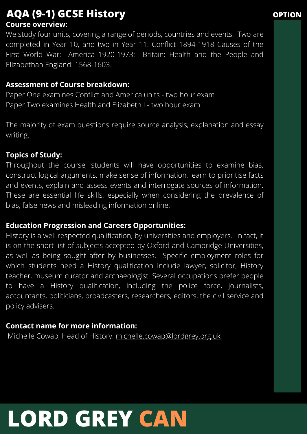## **Course overview: AQA (9-1) GCSE History OPTION**

We study four units, covering a range of periods, countries and events. Two are completed in Year 10, and two in Year 11. Conflict 1894-1918 Causes of the First World War; America 1920-1973; Britain: Health and the People and Elizabethan England: 1568-1603.

## **Assessment of Course breakdown:**

Paper One examines Conflict and America units - two hour exam Paper Two examines Health and Elizabeth I - two hour exam

The majority of exam questions require source analysis, explanation and essay writing.

## **Topics of Study:**

Throughout the course, students will have opportunities to examine bias, construct logical arguments, make sense of information, learn to prioritise facts and events, explain and assess events and interrogate sources of information. These are essential life skills, especially when considering the prevalence of bias, false news and misleading information online.

## **Education Progression and Careers Opportunities:**

History is a well respected qualification, by universities and employers. In fact, it is on the short list of subjects accepted by Oxford and Cambridge Universities, as well as being sought after by businesses. Specific employment roles for which students need a History qualification include lawyer, solicitor, History teacher, museum curator and archaeologist. Several occupations prefer people to have a History qualification, including the police force, journalists, accountants, politicians, broadcasters, researchers, editors, the civil service and policy advisers.

## **Contact name for more information:**

Michelle Cowap, Head of History: [michelle.cowap@lordgrey.org.uk](mailto:michelle.cowap@lordgrey.org.uk)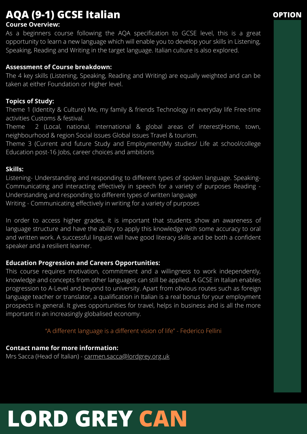## **AQA (9-1) GCSE Italian OPTION**

## **Course Overview:**

As a beginners course following the AQA specification to GCSE level, this is a great opportunity to learn a new language which will enable you to develop your skills in Listening, Speaking, Reading and Writing in the target language. Italian culture is also explored.

## **Assessment of Course breakdown:**

The 4 key skills (Listening, Speaking, Reading and Writing) are equally weighted and can be taken at either Foundation or Higher level.

## **Topics of Study:**

Theme 1 (Identity & Culture) Me, my family & friends Technology in everyday life Free-time activities Customs & festival.

Theme 2 (Local, national, international & global areas of interest)Home, town, neighbourhood & region Social issues Global issues Travel & tourism.

Theme 3 (Current and future Study and Employment)My studies/ Life at school/college Education post-16 Jobs, career choices and ambitions

## **Skills:**

Listening- Understanding and responding to different types of spoken language. Speaking-Communicating and interacting effectively in speech for a variety of purposes Reading - Understanding and responding to different types of written language Writing - Communicating effectively in writing for a variety of purposes

In order to access higher grades, it is important that students show an awareness of language structure and have the ability to apply this knowledge with some accuracy to oral and written work. A successful linguist will have good literacy skills and be both a confident speaker and a resilient learner.

## **Education Progression and Careers Opportunities:**

This course requires motivation, commitment and a willingness to work independently, knowledge and concepts from other languages can still be applied. A GCSE in Italian enables progression to A-Level and beyond to university. Apart from obvious routes such as foreign language teacher or translator, a qualification in Italian is a real bonus for your employment prospects in general. It gives opportunities for travel, helps in business and is all the more important in an increasingly globalised economy.

"A different language is a different vision of life" - Federico Fellini

## **Contact name for more information:**

Mrs Sacca (Head of Italian) - [carmen.sacca@lordgrey.org.uk](mailto:carmen.sacca@lordgrey.org.uk)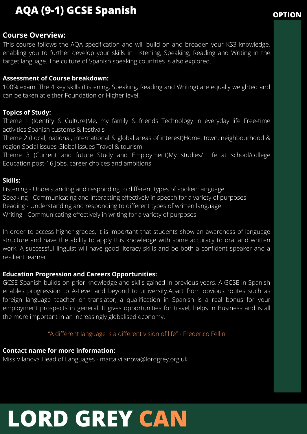## **AQA (9-1) GCSE Spanish OPTION**

## **Course Overview:**

This course follows the AQA specification and will build on and broaden your KS3 knowledge, enabling you to further develop your skills in Listening, Speaking, Reading and Writing in the target language. The culture of Spanish speaking countries is also explored.

### **Assessment of Course breakdown:**

100% exam. The 4 key skills (Listening, Speaking, Reading and Writing) are equally weighted and can be taken at either Foundation or Higher level.

## **Topics of Study:**

Theme 1 (Identity & Culture)Me, my family & friends Technology in everyday life Free-time activities Spanish customs & festivals

Theme 2 (Local, national, international & global areas of interest)Home, town, neighbourhood & region Social issues Global issues Travel & tourism

Theme 3 (Current and future Study and Employment)My studies/ Life at school/college Education post-16 Jobs, career choices and ambitions

## **Skills:**

Listening - Understanding and responding to different types of spoken language Speaking - Communicating and interacting effectively in speech for a variety of purposes Reading - Understanding and responding to different types of written language Writing - Communicating effectively in writing for a variety of purposes

In order to access higher grades, it is important that students show an awareness of language structure and have the ability to apply this knowledge with some accuracy to oral and written work. A successful linguist will have good literacy skills and be both a confident speaker and a resilient learner.

## **Education Progression and Careers Opportunities:**

GCSE Spanish builds on prior knowledge and skills gained in previous years. A GCSE in Spanish enables progression to A-Level and beyond to university.Apart from obvious routes such as foreign language teacher or translator, a qualification in Spanish is a real bonus for your employment prospects in general. It gives opportunities for travel, helps in Business and is all the more important in an increasingly globalised economy.

"A different language is a different vision of life" - Frederico Fellini

## **Contact name for more information:**

Miss Vilanova Head of Languages - [marta.vilanova@lordgrey.org.uk](mailto:marta.vilanova@lordgrey.org.uk)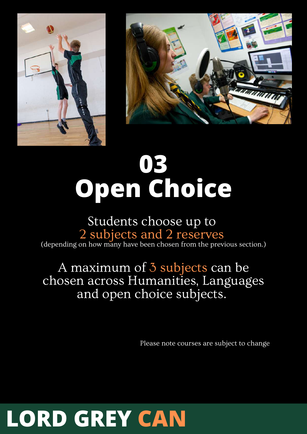



# **03 Open Choice**

## Students choose up to 2 subjects and 2 reserves (depending on how many have been chosen from the previous section.)

## A maximum of 3 subjects can be chosen across Humanities, Languages and open choice subjects.

Please note courses are subject to change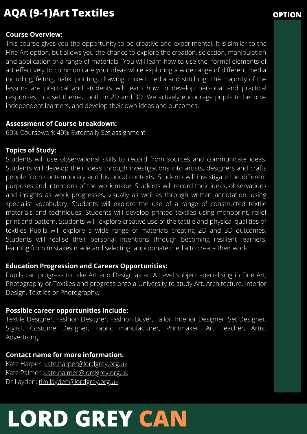## **AQA (9-1)Art Textiles OPTION**

## **Course Overview:**

This course gives you the opportunity to be creative and experimental. It is similar to the Fine Art option, but allows you the chance to explore the creation, selection, manipulation and application of a range of materials. You will learn how to use the formal elements of art effectively to communicate your ideas while exploring a wide range of different media including; felting, batik, printing, drawing, mixed media and stitching. The majority of the lessons are practical and students will learn how to develop personal and practical responses to a set theme, both in 2D and 3D. We actively encourage pupils to become independent learners, and develop their own ideas and outcomes.

## **Assessment of Course breakdown:**

60% Coursework 40% Externally Set assignment

## **Topics of Study:**

Students will use observational skills to record from sources and communicate ideas. Students will develop their ideas through investigations into artists, designers and crafts people from contemporary and historical contexts. Students will investigate the different purposes and intentions of the work made. Students will record their ideas, observations and insights as work progresses, visually as well as through written annotation, using specialist vocabulary. Students will explore the use of a range of constructed textile materials and techniques. Students will develop printed textiles using monoprint, relief print and pattern. Students will explore creative use of the tactile and physical qualities of textiles Pupils will explore a wide range of materials creating 2D and 3D outcomes. Students will realise their personal intentions through becoming resilient learners, learning from mistakes made and selecting appropriate media to create their work.

## **Education Progression and Careers Opportunities:**

Pupils can progress to take Art and Design as an A Level subject specialising in Fine Art, Photography or Textiles and progress onto a University to study Art, Architecture, Interior Design, Textiles or Photography.

## **Possible career opportunities include:**

Textile Designer, Fashion Designer, Fashion Buyer, Tailor, Interior Designer, Set Designer, Stylist, Costume Designer, Fabric manufacturer, Printmaker, Art Teacher, Artist Advertising.

## **Contact name for more information.**

Kate Harper: [kate.harper@lordgrey.org.uk](mailto:kate.harper@lordgrey.org.uk) Kate Palmer : [kate.palmer@lordgrey.org.uk](mailto:kate.palmer@lordgrey.org.uk) Dr Layden: [tim.layden@lordgrey.org.uk](mailto:tim.layden@lordgrey.org.uk)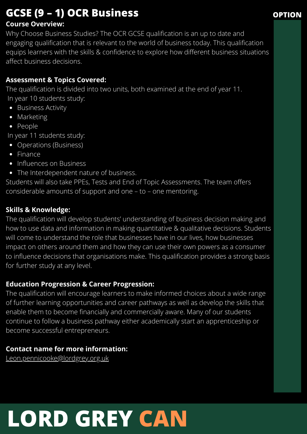## **GCSE (9 – 1) OCR Business OPTION**

## **Course Overview:**

Why Choose Business Studies? The OCR GCSE qualification is an up to date and engaging qualification that is relevant to the world of business today. This qualification equips learners with the skills & confidence to explore how different business situations affect business decisions.

## **Assessment & Topics Covered:**

The qualification is divided into two units, both examined at the end of year 11. In year 10 students study:

- Business Activity
- Marketing
- People

In year 11 students study:

- Operations (Business)
- Finance
- Influences on Business
- The Interdependent nature of business.

Students will also take PPEs, Tests and End of Topic Assessments. The team offers considerable amounts of support and one – to – one mentoring.

## **Skills & Knowledge:**

The qualification will develop students' understanding of business decision making and how to use data and information in making quantitative & qualitative decisions. Students will come to understand the role that businesses have in our lives, how businesses impact on others around them and how they can use their own powers as a consumer to influence decisions that organisations make. This qualification provides a strong basis for further study at any level.

## **Education Progression & Career Progression:**

The qualification will encourage learners to make informed choices about a wide range of further learning opportunities and career pathways as well as develop the skills that enable them to become financially and commercially aware. Many of our students continue to follow a business pathway either academically start an apprenticeship or become successful entrepreneurs.

## **Contact name for more information:**

[Leon.pennicooke@lordgrey.org.uk](mailto:Leon.pennicooke@lordgrey.org.uk)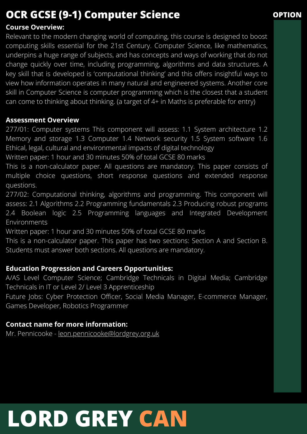## **OCR GCSE (9-1) Computer Science OPTION**

## **Course Overview:**

Relevant to the modern changing world of computing, this course is designed to boost computing skills essential for the 21st Century. Computer Science, like mathematics, underpins a huge range of subjects, and has concepts and ways of working that do not change quickly over time, including programming, algorithms and data structures. A key skill that is developed is 'computational thinking' and this offers insightful ways to view how information operates in many natural and engineered systems. Another core skill in Computer Science is computer programming which is the closest that a student can come to thinking about thinking. (a target of 4+ in Maths is preferable for entry)

## **Assessment Overview**

277/01: Computer systems This component will assess: 1.1 System architecture 1.2 Memory and storage 1.3 Computer 1.4 Network security 1.5 System software 1.6 Ethical, legal, cultural and environmental impacts of digital technology

Written paper: 1 hour and 30 minutes 50% of total GCSE 80 marks

This is a non-calculator paper. All questions are mandatory. This paper consists of multiple choice questions, short response questions and extended response questions.

277/02: Computational thinking, algorithms and programming. This component will assess: 2.1 Algorithms 2.2 Programming fundamentals 2.3 Producing robust programs 2.4 Boolean logic 2.5 Programming languages and Integrated Development Environments

Written paper: 1 hour and 30 minutes 50% of total GCSE 80 marks

This is a non-calculator paper. This paper has two sections: Section A and Section B. Students must answer both sections. All questions are mandatory.

## **Education Progression and Careers Opportunities:**

A/AS Level Computer Science; Cambridge Technicals in Digital Media; Cambridge Technicals in IT or Level 2/ Level 3 Apprenticeship

Future Jobs: Cyber Protection Officer, Social Media Manager, E-commerce Manager, Games Developer, Robotics Programmer

## **Contact name for more information:**

Mr. Pennicooke - [leon.pennicooke@lordgrey.org.uk](mailto:Leon.pennicooke@lordgrey.org.uk)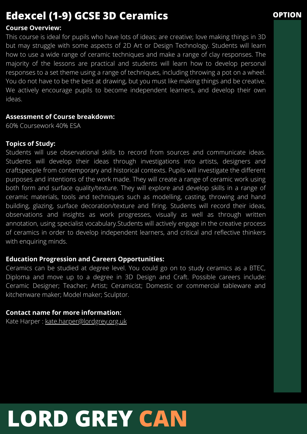## **Edexcel (1-9) GCSE 3D Ceramics OPTION**

## **Course Overview:**

This course is ideal for pupils who have lots of ideas; are creative; love making things in 3D but may struggle with some aspects of 2D Art or Design Technology. Students will learn how to use a wide range of ceramic techniques and make a range of clay responses. The majority of the lessons are practical and students will learn how to develop personal responses to a set theme using a range of techniques, including throwing a pot on a wheel. You do not have to be the best at drawing, but you must like making things and be creative. We actively encourage pupils to become independent learners, and develop their own ideas.

## **Assessment of Course breakdown:**

60% Coursework 40% ESA

## **Topics of Study:**

Students will use observational skills to record from sources and communicate ideas. Students will develop their ideas through investigations into artists, designers and craftspeople from contemporary and historical contexts. Pupils will investigate the different purposes and intentions of the work made. They will create a range of ceramic work using both form and surface quality/texture. They will explore and develop skills in a range of ceramic materials, tools and techniques such as modelling, casting, throwing and hand building, glazing, surface decoration/texture and firing. Students will record their ideas, observations and insights as work progresses, visually as well as through written annotation, using specialist vocabulary.Students will actively engage in the creative process of ceramics in order to develop independent learners, and critical and reflective thinkers with enquiring minds.

## **Education Progression and Careers Opportunities:**

Ceramics can be studied at degree level. You could go on to study ceramics as a BTEC, Diploma and move up to a degree in 3D Design and Craft. Possible careers include: Ceramic Designer; Teacher; Artist; Ceramicist; Domestic or commercial tableware and kitchenware maker; Model maker; Sculptor.

## **Contact name for more information:**

Kate Harper : [kate.harper@lordgrey.org.uk](mailto:kate.harper@lordgrey.org.uk)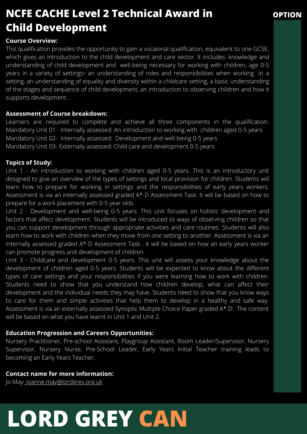## **NCFE CACHE Level 2 Technical Award in Child Development**

## **OPTION**

### **Course Overview:**

This qualification provides the opportunity to gain a vocaional qualification, equivalent to one GCSE, which gives an introduction to the child development and care sector. It includes: knowledge and understanding of child development and well-being necessary for working with children, age 0-5 years in a variety of settings• an understanding of roles and responsibilities when working in a setting, an understanding of equality and diversity within a childcare setting, a basic understanding of the stages and sequence of child development, an introduction to observing children and how it supports development.

### **Assessment of Course breakdown:**

Learners are required to complete and achieve all three components in the qualification. Mandatory Unit 01 - Internally assessed: An introduction to working with children aged 0-5 years Mandatory Unit 02- Internally assessed: Development and well-being 0-5 years Mandatory Unit 03- Externally assessed: Child care and development 0-5 years

### **Topics of Study:**

Unit 1 - An introduction to working with children aged 0-5 years. This is an introductory unit designed to give an overview of the types of settings and local provision for children. Students will learn how to prepare for working in settings and the responsibilities of early years workers. Assessment is via an internally assessed graded A\*-D Assessment Task. It will be based on how to prepare for a work placement with 0-5 year olds

Unit 2 - Development and well-being 0-5 years. This unit focuses on holistic development and factors that affect development. Students will be introduced to ways of observing children so that you can support development through appropriate activities and care routines. Students will also learn how to work with children when they move from one setting to another. Assessment is via an internally assessed graded A\*-D Assessment Task . It will be based on how an early years worker can promote progress and development of children.

Unit 3 - Childcare and development 0-5 years. This unit will assess your knowledge about the development of children aged 0-5 years. Students will be expected to know about the different types of care settings and your responsibilities if you were learning how to work with children. Students need to show that you understand how children develop, what can affect their development and the individual needs they may have. Students need to show that you know ways to care for them and simple activities that help them to develop in a healthy and safe way. Assessment is via an externally assessed Synoptic Multiple Choice Paper graded A\*-D. The content will be based on what you have learnt in Unit 1 and Unit 2.

### **Education Progression and Careers Opportunities:**

Nursery Practitioner, Pre-school Assistant, Playgroup Assistant, Room Leader/Supervisor, Nursery Supervisor, Nursery Nurse, Pre-School Leader, Early Years Initial Teacher training leads to becoming an Early Years Teacher.

### **Contact name for more information:**

Jo May: [joanne.may@lordgrey.org.uk](mailto:joanne.may@lordgrey.org.uk)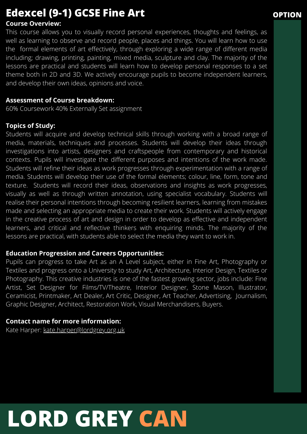## **Edexcel (9-1) GCSE Fine Art OPTION**

## **Course Overview:**

This course allows you to visually record personal experiences, thoughts and feelings, as well as learning to observe and record people, places and things. You will learn how to use the formal elements of art effectively, through exploring a wide range of different media including; drawing, printing, painting, mixed media, sculpture and clay. The majority of the lessons are practical and students will learn how to develop personal responses to a set theme both in 2D and 3D. We actively encourage pupils to become independent learners, and develop their own ideas, opinions and voice.

## **Assessment of Course breakdown:**

60% Coursework 40% Externally Set assignment

## **Topics of Study:**

Students will acquire and develop technical skills through working with a broad range of media, materials, techniques and processes. Students will develop their ideas through investigations into artists, designers and craftspeople from contemporary and historical contexts. Pupils will investigate the different purposes and intentions of the work made. Students will refine their ideas as work progresses through experimentation with a range of media. Students will develop their use of the formal elements; colour, line, form, tone and texture. Students will record their ideas, observations and insights as work progresses, visually as well as through written annotation, using specialist vocabulary. Students will realise their personal intentions through becoming resilient learners, learning from mistakes made and selecting an appropriate media to create their work. Students will actively engage in the creative process of art and design in order to develop as effective and independent learners, and critical and reflective thinkers with enquiring minds. The majority of the lessons are practical, with students able to select the media they want to work in.

## **Education Progression and Careers Opportunities:**

Pupils can progress to take Art as an A Level subject, either in Fine Art, Photography or Textiles and progress onto a University to study Art, Architecture, Interior Design, Textiles or Photography. This creative industries is one of the fastest growing sector, jobs include: Fine Artist, Set Designer for Films/TV/Theatre, Interior Designer, Stone Mason, Illustrator, Ceramicist, Printmaker, Art Dealer, Art Critic, Designer, Art Teacher, Advertising, Journalism, Graphic Designer, Architect, Restoration Work, Visual Merchandisers, Buyers.

## **Contact name for more information:**

Kate Harper: [kate.harper@lordgrey.org.uk](mailto:kate.harper@lordgrey.org.uk)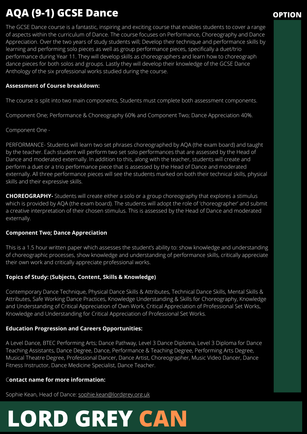## **AQA (9-1) GCSE Dance OPTION**

The GCSE Dance course is a fantastic, inspiring and exciting course that enables students to cover a range of aspects within the curriculum of Dance. The course focuses on Performance, Choreography and Dance Appreciation. Over the two years of study students will; Develop their technique and performance skills by learning and performing solo pieces as well as group performance pieces, specifically a duet/trio performance during Year 11. They will develop skills as choreographers and learn how to choreograph dance pieces for both solos and groups. Lastly they will develop their knowledge of the GCSE Dance Anthology of the six professional works studied during the course.

### **Assessment of Course breakdown:**

The course is split into two main components, Students must complete both assessment components.

Component One; Performance & Choreography 60% and Component Two; Dance Appreciation 40%.

Component One -

PERFORMANCE- Students will learn two set phrases choreographed by AQA (the exam board) and taught by the teacher. Each student will perform two set solo performances that are assessed by the Head of Dance and moderated externally. In addition to this, along with the teacher, students will create and perform a duet or a trio performance piece that is assessed by the Head of Dance and moderated externally. All three performance pieces will see the students marked on both their technical skills, physical skills and their expressive skills.

**CHOREOGRAPHY-** Students will create either a solo or a group choreography that explores a stimulus which is provided by AQA (the exam board). The students will adopt the role of 'choreographer' and submit a creative interpretation of their chosen stimulus. This is assessed by the Head of Dance and moderated externally.

### **Component Two; Dance Appreciation**

This is a 1.5 hour written paper which assesses the student's ability to: show knowledge and understanding of choreographic processes, show knowledge and understanding of performance skills, critically appreciate their own work and critically appreciate professional works.

### **Topics of Study: (Subjects, Content, Skills & Knowledge)**

Contemporary Dance Technique, Physical Dance Skills & Attributes, Technical Dance Skills, Mental Skills & Attributes, Safe Working Dance Practices, Knowledge Understanding & Skills for Choreography, Knowledge and Understanding of Critical Appreciation of Own Work, Critical Appreciation of Professional Set Works, Knowledge and Understanding for Critical Appreciation of Professional Set Works.

### **Education Progression and Careers Opportunities:**

A Level Dance, BTEC Performing Arts; Dance Pathway, Level 3 Dance Diploma, Level 3 Diploma for Dance Teaching Assistants, Dance Degree, Dance, Performance & Teaching Degree, Performing Arts Degree, Musical Theatre Degree, Professional Dancer, Dance Artist, Choreographer, Music Video Dancer, Dance Fitness Instructor, Dance Medicine Specialist, Dance Teacher.

### C**ontact name for more information:**

Sophie Kean, Head of Dance: [sophie.kean@lordgrey.org.uk](mailto:sophie.kean@lordgrey.org.uk)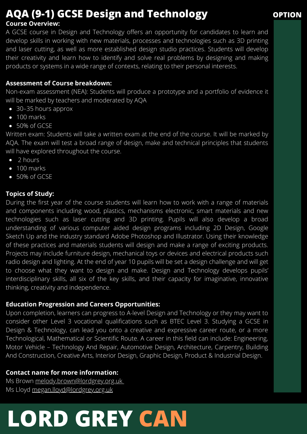## **AQA** (9-1) **GCSE Design and Technology OPTION**

## **Course Overview:**

A GCSE course in Design and Technology offers an opportunity for candidates to learn and develop skills in working with new materials, processes and technologies such as 3D printing and laser cutting, as well as more established design studio practices. Students will develop their creativity and learn how to identify and solve real problems by designing and making products or systems in a wide range of contexts, relating to their personal interests.

## **Assessment of Course breakdown:**

Non-exam assessment (NEA): Students will produce a prototype and a portfolio of evidence it will be marked by teachers and moderated by AQA

- 30–35 hours approx
- 100 marks
- 50% of GCSE

Written exam: Students will take a written exam at the end of the course. It will be marked by AQA. The exam will test a broad range of design, make and technical principles that students will have explored throughout the course.

- 2 hours
- 100 marks
- 50% of GCSE

## **Topics of Study:**

During the first year of the course students will learn how to work with a range of materials and components including wood, plastics, mechanisms electronic, smart materials and new technologies such as laser cutting and 3D printing. Pupils will also develop a broad understanding of various computer aided design programs including 2D Design, Google Sketch Up and the industry standard Adobe Photoshop and Illustrator. Using their knowledge of these practices and materials students will design and make a range of exciting products. Projects may include furniture design, mechanical toys or devices and electrical products such radio design and lighting. At the end of year 10 pupils will be set a design challenge and will get to choose what they want to design and make. Design and Technology develops pupils' interdisciplinary skills, all six of the key skills, and their capacity for imaginative, innovative thinking, creativity and independence.

## **Education Progression and Careers Opportunities:**

Upon completion, learners can progress to A-level Design and Technology or they may want to consider other Level 3 vocational qualifications such as BTEC Level 3. Studying a GCSE in Design & Technology, can lead you onto a creative and expressive career route, or a more Technological, Mathematical or Scientific Route. A career in this field can include: Engineering, Motor Vehicle – Technology And Repair, Automotive Design, Architecture, Carpentry, Building And Construction, Creative Arts, Interior Design, Graphic Design, Product & Industrial Design.

## **Contact name for more information:**

Ms Brown [melody.brown@lordgrey.org.uk](mailto:melody.brown@lordgrey.org.uk) Ms Lloyd [megan.lloyd@lordgrey.org.uk](mailto:megan.lloyd@lordgrey.org.uk)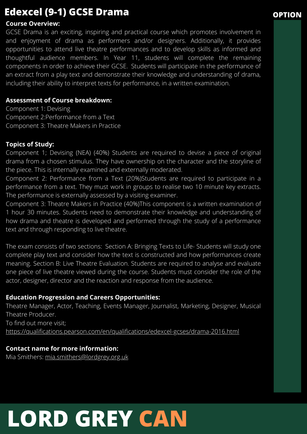## **Edexcel (9-1) GCSE Drama OPTION**

## **Course Overview:**

GCSE Drama is an exciting, inspiring and practical course which promotes involvement in and enjoyment of drama as performers and/or designers. Additionally, it provides opportunities to attend live theatre performances and to develop skills as informed and thoughtful audience members. In Year 11, students will complete the remaining components in order to achieve their GCSE. Students will participate in the performance of an extract from a play text and demonstrate their knowledge and understanding of drama, including their ability to interpret texts for performance, in a written examination.

## **Assessment of Course breakdown:**

Component 1: Devising Component 2:Performance from a Text Component 3: Theatre Makers in Practice

## **Topics of Study:**

Component 1; Devising (NEA) (40%) Students are required to devise a piece of original drama from a chosen stimulus. They have ownership on the character and the storyline of the piece. This is internally examined and externally moderated.

Component 2: Performance from a Text (20%)Students are required to participate in a performance from a text. They must work in groups to realise two 10 minute key extracts. The performance is externally assessed by a visiting examiner.

Component 3: Theatre Makers in Practice (40%)This component is a written examination of 1 hour 30 minutes. Students need to demonstrate their knowledge and understanding of how drama and theatre is developed and performed through the study of a performance text and through responding to live theatre.

The exam consists of two sections: Section A: Bringing Texts to Life- Students will study one complete play text and consider how the text is constructed and how performances create meaning. Section B: Live Theatre Evaluation. Students are required to analyse and evaluate one piece of live theatre viewed during the course. Students must consider the role of the actor, designer, director and the reaction and response from the audience.

## **Education Progression and Careers Opportunities:**

Theatre Manager, Actor, Teaching, Events Manager, Journalist, Marketing, Designer, Musical Theatre Producer. To find out more visit; <https://qualifications.pearson.com/en/qualifications/edexcel-gcses/drama-2016.html>

## **Contact name for more information:**

Mia Smithers: [mia.smithers@lordgrey.org.uk](mailto:mia.smithers@lordgrey.org.uk)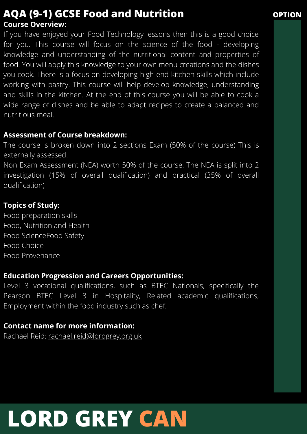## **Course Overview: AQA (9-1) GCSE Food and Nutrition OPTION**

If you have enjoyed your Food Technology lessons then this is a good choice for you. This course will focus on the science of the food - developing knowledge and understanding of the nutritional content and properties of food. You will apply this knowledge to your own menu creations and the dishes you cook. There is a focus on developing high end kitchen skills which include working with pastry. This course will help develop knowledge, understanding and skills in the kitchen. At the end of this course you will be able to cook a wide range of dishes and be able to adapt recipes to create a balanced and nutritious meal.

## **Assessment of Course breakdown:**

The course is broken down into 2 sections Exam (50% of the course) This is externally assessed.

Non Exam Assessment (NEA) worth 50% of the course. The NEA is split into 2 investigation (15% of overall qualification) and practical (35% of overall qualification)

## **Topics of Study:**

Food preparation skills Food, Nutrition and Health Food ScienceFood Safety Food Choice Food Provenance

## **Education Progression and Careers Opportunities:**

Level 3 vocational qualifications, such as BTEC Nationals, specifically the Pearson BTEC Level 3 in Hospitality, Related academic qualifications, Employment within the food industry such as chef.

## **Contact name for more information:**

Rachael Reid: [rachael.reid@lordgrey.org.uk](mailto:rachael.reid@lordgrey.org.uk)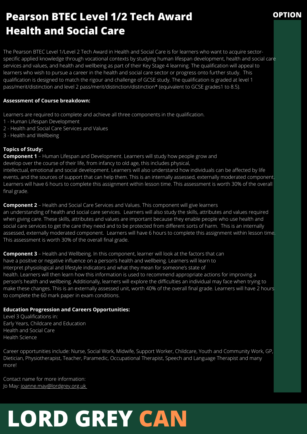## **Pearson BTEC Level 1/2 Tech Award Health and Social Care**

The Pearson BTEC Level 1/Level 2 Tech Award in Health and Social Care is for learners who want to acquire sectorspecific applied knowledge through vocational contexts by studying human lifespan development, health and social care services and values, and health and wellbeing as part of their Key Stage 4 learning. The qualification will appeal to learners who wish to pursue a career in the health and social care sector or progress onto further study. This qualification is designed to match the rigour and challenge of GCSE study. The qualification is graded at level 1 pass/merit/distinction and level 2 pass/merit/distinction/distinction\* (equivalent to GCSE grades1 to 8.5).

### **Assessment of Course breakdown:**

Learners are required to complete and achieve all three components in the qualification.

- 1 Human Lifespan Development
- 2 Health and Social Care Services and Values
- 3 Health and Wellbeing

### **Topics of Study:**

**Component 1** – Human Lifespan and Development. Learners will study how people grow and develop over the course of their life, from infancy to old age, this includes physical,

intellectual, emotional and social development. Learners will also understand how individuals can be affected by life events, and the sources of support that can help them. This is an internally assessed, externally moderated component. Learners will have 6 hours to complete this assignment within lesson time. This assessment is worth 30% of the overall final grade.

**Component 2** – Health and Social Care Services and Values. This component will give learners an understanding of health and social care services. Learners will also study the skills, attributes and values required when giving care. These skills, attributes and values are important because they enable people who use health and social care services to get the care they need and to be protected from different sorts of harm. This is an internally assessed, externally moderated component. Learners will have 6 hours to complete this assignment within lesson time. This assessment is worth 30% of the overall final grade.

**Component 3** – Health and Wellbeing. In this component, learner will look at the factors that can have a positive or negative influence on a person's health and wellbeing. Learners will learn to interpret physiological and lifestyle indicators and what they mean for someone's state of health. Learners will then learn how this information is used to recommend appropriate actions for improving a person's health and wellbeing. Additionally, learners will explore the difficulties an individual may face when trying to make these changes. This is an externally assessed unit, worth 40% of the overall final grade. Learners will have 2 hours to complete the 60 mark paper in exam conditions.

### **Education Progression and Careers Opportunities:**

Level 3 Qualifications in: Early Years, Childcare and Education Health and Social Care Health Science

Career opportunities include: Nurse, Social Work, Midwife, Support Worker, Childcare, Youth and Community Work, GP, Dietician, Physiotherapist, Teacher, Paramedic, Occupational Therapist, Speech and Language Therapist and many more!

Contact name for more information: Jo May: [joanne.may@lordgrey.org.uk](mailto:joanne.may@lordgrey.org.uk)

## **LORD GREY CAN**

**OPTION**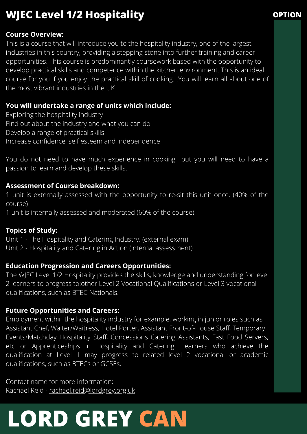## **WJEC** Level 1/2 Hospitality **CONSUMPTION**

## **Course Overview:**

This is a course that will introduce you to the hospitality industry, one of the largest industries in this country, providing a stepping stone into further training and career opportunities. This course is predominantly coursework based with the opportunity to develop practical skills and competence within the kitchen environment. This is an ideal course for you if you enjoy the practical skill of cooking. .You will learn all about one of the most vibrant industries in the UK

## **You will undertake a range of units which include:**

Exploring the hospitality industry Find out about the industry and what you can do Develop a range of practical skills Increase confidence, self esteem and independence

You do not need to have much experience in cooking but you will need to have a passion to learn and develop these skills.

## **Assessment of Course breakdown:**

1 unit is externally assessed with the opportunity to re-sit this unit once. (40% of the course)

1 unit is internally assessed and moderated (60% of the course)

## **Topics of Study:**

Unit 1 - The Hospitality and Catering Industry. (external exam)

Unit 2 - Hospitality and Catering in Action (internal assessment)

## **Education Progression and Careers Opportunities:**

The WJEC Level 1/2 Hospitality provides the skills, knowledge and understanding for level 2 learners to progress to:other Level 2 Vocational Qualifications or Level 3 vocational qualifications, such as BTEC Nationals.

## **Future Opportunities and Careers:**

Employment within the hospitality industry for example, working in junior roles such as Assistant Chef, Waiter/Waitress, Hotel Porter, Assistant Front-of-House Staff, Temporary Events/Matchday Hospitality Staff, Concessions Catering Assistants, Fast Food Servers, etc or Apprenticeships in Hospitality and Catering. Learners who achieve the qualification at Level 1 may progress to related level 2 vocational or academic qualifications, such as BTECs or GCSEs.

Contact name for more information: Rachael Reid - [rachael.reid@lordgrey.org.uk](mailto:rachael.reid@lordgrey.org.uk)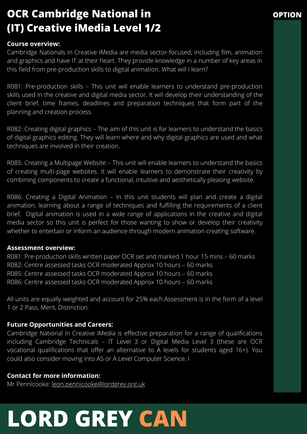## **OCR Cambridge National in (IT) Creative iMedia Level 1/2**

## **Course overview:**

Cambridge Nationals in Creative iMedia are media sector-focused, including film, animation and graphics and have IT at their heart. They provide knowledge in a number of key areas in this field from pre-production skills to digital animation. What will I learn?

**OPTION**

R081: Pre-production skills – This unit will enable learners to understand pre-production skills used in the creative and digital media sector. It will develop their understanding of the client brief, time frames, deadlines and preparation techniques that form part of the planning and creation process.

R082: Creating digital graphics – The aim of this unit is for learners to understand the basics of digital graphics editing. They will learn where and why digital graphics are used and what techniques are involved in their creation.

R085: Creating a Multipage Website – This unit will enable learners to understand the basics of creating multi-page websites. It will enable learners to demonstrate their creativity by combining components to create a functional, intuitive and aesthetically pleasing website.

R086: Creating a Digital Animation – In this unit students will plan and create a digital animation, learning about a range of techniques and fulfilling the requirements of a client brief. Digital animation is used in a wide range of applications in the creative and digital media sector so this unit is perfect for those wanting to show or develop their creativity whether to entertain or inform an audience through modern animation creating software.

### **Assessment overview:**

R081: Pre-production skills written paper OCR set and marked 1 hour 15 mins – 60 marks R082: Centre assessed tasks OCR moderated Approx 10 hours – 60 marks R085: Centre assessed tasks OCR moderated Approx 10 hours – 60 marks R086: Centre assessed tasks OCR moderated Approx 10 hours – 60 marks

All units are equally weighted and account for 25% each.Assessment is in the form of a level 1 or 2 Pass, Merit, Distinction.

## **Future Opportunities and Careers:**

Cambridge National in Creative iMedia is effective preparation for a range of qualifications including Cambridge Technicals – IT Level 3 or Digital Media Level 3 (these are OCR vocational qualifications that offer an alternative to A levels for students aged 16+). You could also consider moving into AS or A Level Computer Science. I

## **Contact for more information:**

Mr Pennicooke: [leon.pennicooke@lordgrey.org.uk](mailto:leon.pennicooke@lordgrey.org.uk)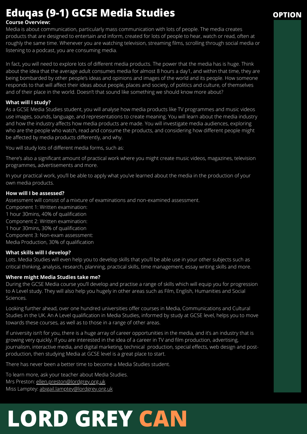## **Eduqas (9-1) GCSE Media Studies OPTION**

### **Course Overview:**

Media is about communication, particularly mass communication with lots of people. The media creates products that are designed to entertain and inform, created for lots of people to hear, watch or read, often at roughly the same time. Whenever you are watching television, streaming films, scrolling through social media or listening to a podcast, you are consuming media.

In fact, you will need to explore lots of different media products. The power that the media has is huge. Think about the idea that the average adult consumes media for almost 8 hours a day1, and within that time, they are being bombarded by other people's ideas and opinions and images of the world and its people. How someone responds to that will affect their ideas about people, places and society, of politics and culture, of themselves and of their place in the world. Doesn't that sound like something we should know more about?

### **What will I study?**

As a GCSE Media Studies student, you will analyse how media products like TV programmes and music videos use images, sounds, language, and representations to create meaning. You will learn about the media industry and how the industry affects how media products are made. You will investigate media audiences, exploring who are the people who watch, read and consume the products, and considering how different people might be affected by media products differently, and why.

You will study lots of different media forms, such as:

There's also a significant amount of practical work where you might create music videos, magazines, television programmes, advertisements and more.

In your practical work, you'll be able to apply what you've learned about the media in the production of your own media products.

### **How will I be assessed?**

Assessment will consist of a mixture of examinations and non-examined assessment.

Component 1: Written examination: 1 hour 30mins, 40% of qualification Component 2: Written examination: 1 hour 30mins, 30% of qualification Component 3: Non-exam assessment: Media Production, 30% of qualification

### **What skills will I develop?**

Lots. Media Studies will even help you to develop skills that you'll be able use in your other subjects such as critical thinking, analysis, research, planning, practical skills, time management, essay writing skills and more.

### **Where might Media Studies take me?**

During the GCSE Media course you'll develop and practise a range of skills which will equip you for progression to A Level study. They will also help you hugely in other areas such as Film, English, Humanities and Social Sciences.

Looking further ahead, over one hundred universities offer courses in Media, Communications and Cultural Studies in the UK. An A Level qualification in Media Studies, informed by study at GCSE level, helps you to move towards these courses, as well as to those in a range of other areas.

If university isn't for you, there is a huge array of career opportunities in the media, and it's an industry that is growing very quickly. If you are interested in the idea of a career in TV and film production, advertising, journalism, interactive media, and digital marketing, technical production, special effects, web design and postproduction, then studying Media at GCSE level is a great place to start.

There has never been a better time to become a Media Studies student.

To learn more, ask your teacher about Media Studies. Mrs Preston: [ellen.preston@lordgrey.org.uk](mailto:ellen.preston@lordgrey.org.uk) Miss Lamptey: [abigail.lamptey@lordgrey.org.uk](mailto:abigail.lamptey@lordgrey.org.uk)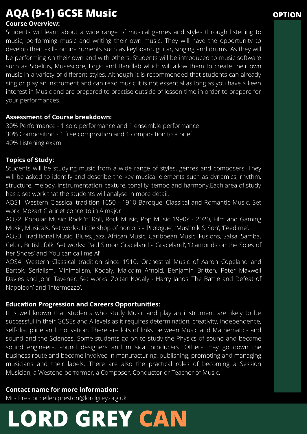## **AQA (9-1) GCSE Music OPTION**

## **Course Overview:**

Students will learn about a wide range of musical genres and styles through listening to music, performing music and writing their own music. They will have the opportunity to develop their skills on instruments such as keyboard, guitar, singing and drums. As they will be performing on their own and with others. Students will be introduced to music software such as Sibelius, Musescore, Logic and Bandlab which will allow them to create their own music in a variety of different styles. Although it is recommended that students can already sing or play an instrument and can read music it is not essential as long as you have a keen interest in Music and are prepared to practise outside of lesson time in order to prepare for your performances.

## **Assessment of Course breakdown:**

30% Performance - 1 solo performance and 1 ensemble performance 30% Composition - 1 free composition and 1 composition to a brief 40% Listening exam

## **Topics of Study:**

Students will be studying music from a wide range of styles, genres and composers. They will be asked to identify and describe the key musical elements such as dynamics, rhythm, structure, melody, instrumentation, texture, tonality, tempo and harmony.Each area of study has a set work that the students will analyse in more detail.

AOS1: Western Classical tradition 1650 - 1910 Baroque, Classical and Romantic Music. Set work: Mozart Clarinet concerto in A major

AOS2: Popular Music: Rock 'n' Roll, Rock Music, Pop Music 1990s - 2020, Film and Gaming Music, Musicals. Set works: Little shop of horrors - 'Prologue', 'Mushnik & Son', 'Feed me'.

AOS3: Traditional Music: Blues, Jazz, African Music, Caribbean Music, Fusions, Salsa, Samba, Celtic, British folk. Set works: Paul Simon Graceland - 'Graceland', 'Diamonds on the Soles of her Shoes' and 'You can call me Al'.

AOS4: Western Classical tradition since 1910: Orchestral Music of Aaron Copeland and Bartok, Serialism, Minimalism, Kodaly, Malcolm Arnold, Benjamin Britten, Peter Maxwell Davies and John Tavener. Set works: Zoltan Kodaly - Harry Janos 'The Battle and Defeat of Napoleon' and 'Intermezzo'.

## **Education Progression and Careers Opportunities:**

It is well known that students who study Music and play an instrument are likely to be successful in their GCSEs and A levels as it requires determination, creativity, independence, self-discipline and motivation. There are lots of links between Music and Mathematics and sound and the Sciences. Some students go on to study the Physics of sound and become sound engineers, sound designers and musical producers. Others may go down the business route and become involved in manufacturing, publishing, promoting and managing musicians and their labels. There are also the practical roles of becoming a Session Musician, a Westend performer, a Composer, Conductor or Teacher of Music.

## **Contact name for more information:**

Mrs Preston: [ellen.preston@lordgrey.org.uk](mailto:ellen.preston@lordgrey.org.uk)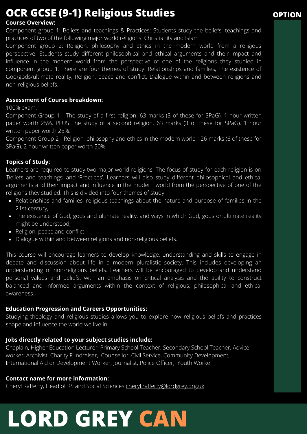## **OCR GCSE (9-1) Religious Studies**

### **Course Overview:**

Component group 1: Beliefs and teachings & Practices: Students study the beliefs, teachings and practices of two of the following major world religions: Christianity and Islam.

Component group 2: Religion, philosophy and ethics in the modern world from a religious perspective: Students study different philosophical and ethical arguments and their impact and influence in the modern world from the perspective of one of the religions they studied in component group 1. There are four themes of study: Relationships and families, The existence of God/gods/ultimate reality, Religion, peace and conflict, Dialogue within and between religions and non-religious beliefs.

### **Assessment of Course breakdown:**

100% exam.

Component Group 1 - The study of a first religion. 63 marks (3 of these for SPaG). 1 hour written paper worth 25%. PLUS The study of a second religion. 63 marks (3 of these for SPaG). 1 hour written paper worth 25%.

Component Group 2 - Religion, philosophy and ethics in the modern world 126 marks (6 of these for SPaG). 2 hour written paper worth 50%

## **Topics of Study:**

Learners are required to study two major world religions. The focus of study for each religion is on 'Beliefs and teachings' and 'Practices'. Learners will also study different philosophical and ethical arguments and their impact and influence in the modern world from the perspective of one of the religions they studied. This is divided into four themes of study:

- Relationships and families, religious teachings about the nature and purpose of families in the 21st century,
- The existence of God, gods and ultimate reality, and ways in which God, gods or ultimate reality might be understood;
- Religion, peace and conflict
- Dialogue within and between religions and non-religious beliefs.

This course will encourage learners to develop knowledge, understanding and skills to engage in debate and discussion about life in a modern pluralistic society. This includes developing an understanding of non-religious beliefs. Learners will be encouraged to develop and understand personal values and beliefs, with an emphasis on critical analysis and the ability to construct balanced and informed arguments within the context of religious, philosophical and ethical awareness.

### **Education Progression and Careers Opportunities:**

Studying theology and religious studies allows you to explore how religious beliefs and practices shape and influence the world we live in.

## **Jobs directly related to your subject studies include:**

Chaplain, Higher Education Lecturer, Primary School Teacher, Secondary School Teacher, Advice worker, Archivist, Charity Fundraiser, Counsellor, Civil Service, Community Development, International Aid or Development Worker, Journalist, Police Officer, Youth Worker.

## **Contact name for more information:**

Cheryl Rafferty, Head of RS and Social Sciences [cheryl.rafferty@lordgrey.org.uk](mailto:cheryl.rafferty@lordgrey.org.uk)

# **LORD GREY CAN**

## **OPTION**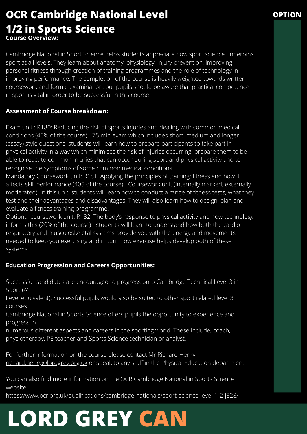## **OCR Cambridge National Level 1/2 in Sports Science Course Overview:**

Cambridge National in Sport Science helps students appreciate how sport science underpins sport at all levels. They learn about anatomy, physiology, injury prevention, improving personal fitness through creation of training programmes and the role of technology in improving performance. The completion of the course is heavily weighted towards written coursework and formal examination, but pupils should be aware that practical competence in sport is vital in order to be successful in this course.

## **Assessment of Course breakdown:**

Exam unit : R180: Reducing the risk of sports injuries and dealing with common medical conditions (40% of the course) - 75 min exam which includes short, medium and longer (essay) style questions. students will learn how to prepare participants to take part in physical activity in a way which minimises the risk of injuries occurring; prepare them to be able to react to common injuries that can occur during sport and physical activity and to recognise the symptoms of some common medical conditions.

Mandatory Coursework unit: R181: Applying the principles of training: fitness and how it affects skill performance (405 of the course) - Coursework unit (internally marked, externally moderated). In this unit, students will learn how to conduct a range of fitness tests, what they test and their advantages and disadvantages. They will also learn how to design, plan and evaluate a fitness training programme.

Optional coursework unit: R182: The body's response to physical activity and how technology informs this (20% of the course) - students will learn to understand how both the cardiorespiratory and musculoskeletal systems provide you with the energy and movements needed to keep you exercising and in turn how exercise helps develop both of these systems.

## **Education Progression and Careers Opportunities:**

Successful candidates are encouraged to progress onto Cambridge Technical Level 3 in Sport (A'

Level equivalent). Successful pupils would also be suited to other sport related level 3 courses.

Cambridge National in Sports Science offers pupils the opportunity to experience and progress in

numerous different aspects and careers in the sporting world. These include; coach, physiotherapy, PE teacher and Sports Science technician or analyst.

For further information on the course please contact Mr Richard Henry, [richard.henry@lordgrey.org.uk](mailto:richard.henry@lordgrey.org.uk) or speak to any staff in the Physical Education department

You can also find more information on the OCR Cambridge National in Sports Science website:

<https://www.ocr.org.uk/qualifications/cambridge-nationals/sport-science-level-1-2-j828/>